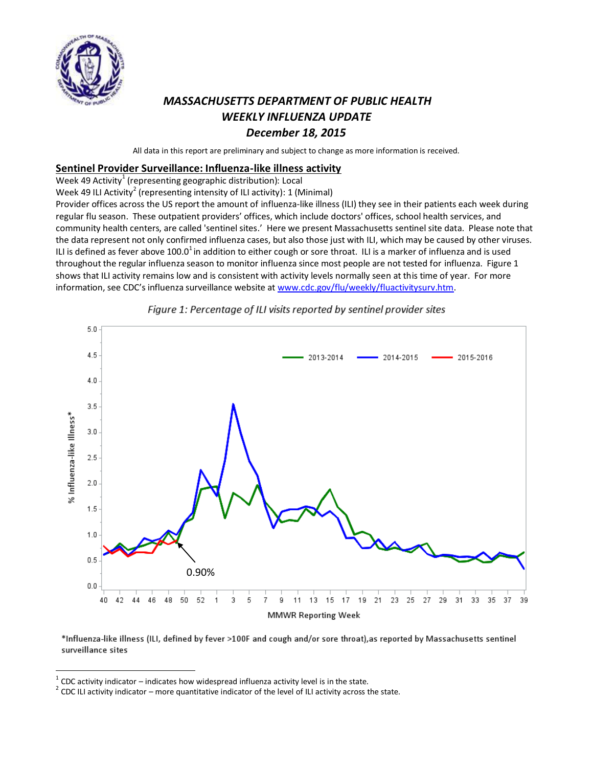

# *MASSACHUSETTS DEPARTMENT OF PUBLIC HEALTH WEEKLY INFLUENZA UPDATE December 18, 2015*

All data in this report are preliminary and subject to change as more information is received.

### **Sentinel Provider Surveillance: Influenza-like illness activity**

Week 49 Activity $^1$  (representing geographic distribution): Local

Week 49 ILI Activity $^2$  (representing intensity of ILI activity): 1 (Minimal)

Provider offices across the US report the amount of influenza-like illness (ILI) they see in their patients each week during regular flu season. These outpatient providers' offices, which include doctors' offices, school health services, and community health centers, are called 'sentinel sites.' Here we present Massachusetts sentinel site data. Please note that the data represent not only confirmed influenza cases, but also those just with ILI, which may be caused by other viruses. ILI is defined as fever above 100.0<sup>1</sup> in addition to either cough or sore throat. ILI is a marker of influenza and is used throughout the regular influenza season to monitor influenza since most people are not tested for influenza. Figure 1 shows that ILI activity remains low and is consistent with activity levels normally seen at this time of year. For more information, see CDC's influenza surveillance website at [www.cdc.gov/flu/weekly/fluactivitysurv.htm.](http://www.cdc.gov/flu/weekly/fluactivitysurv.htm)





\*Influenza-like illness (ILI, defined by fever >100F and cough and/or sore throat), as reported by Massachusetts sentinel surveillance sites

<sup>1</sup> CDC activity indicator – indicates how widespread influenza activity level is in the state.

 $2$  CDC ILI activity indicator – more quantitative indicator of the level of ILI activity across the state.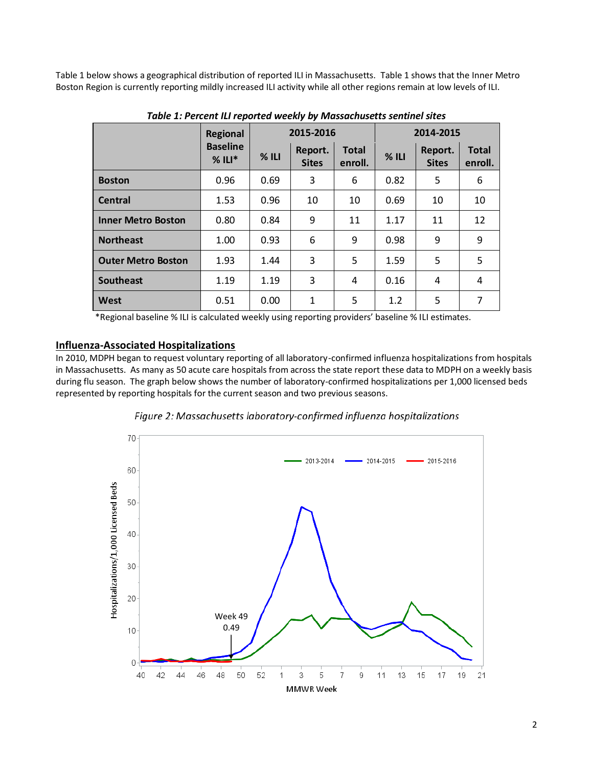Table 1 below shows a geographical distribution of reported ILI in Massachusetts. Table 1 shows that the Inner Metro Boston Region is currently reporting mildly increased ILI activity while all other regions remain at low levels of ILI.

|                           | <b>Regional</b>                |         | 2015-2016                                          |    |                                    | 2014-2015 |                         |  |  |
|---------------------------|--------------------------------|---------|----------------------------------------------------|----|------------------------------------|-----------|-------------------------|--|--|
|                           | <b>Baseline</b><br>$%$ ILI $*$ | $%$ ILI | <b>Total</b><br>Report.<br><b>Sites</b><br>enroll. |    | Report.<br>$%$ ILI<br><b>Sites</b> |           | <b>Total</b><br>enroll. |  |  |
| <b>Boston</b>             | 0.96                           | 0.69    | 3                                                  | 6  | 0.82                               | 5         | 6                       |  |  |
| <b>Central</b>            | 1.53                           | 0.96    | 10                                                 | 10 | 0.69                               | 10        | 10                      |  |  |
| <b>Inner Metro Boston</b> | 0.80                           | 0.84    | 9                                                  | 11 | 1.17                               | 11        | 12                      |  |  |
| <b>Northeast</b>          | 1.00                           | 0.93    | 6                                                  | 9  | 0.98                               | 9         | 9                       |  |  |
| <b>Outer Metro Boston</b> | 1.93                           | 1.44    | 3                                                  | 5  | 1.59                               | 5         | 5                       |  |  |
| <b>Southeast</b>          | 1.19                           | 1.19    | 3                                                  | 4  | 0.16                               | 4         | 4                       |  |  |
| West                      | 0.51                           | 0.00    | 1                                                  | 5  | 1.2                                | 5         | 7                       |  |  |

*Table 1: Percent ILI reported weekly by Massachusetts sentinel sites*

\*Regional baseline % ILI is calculated weekly using reporting providers' baseline % ILI estimates.

#### **Influenza-Associated Hospitalizations**

In 2010, MDPH began to request voluntary reporting of all laboratory-confirmed influenza hospitalizations from hospitals in Massachusetts. As many as 50 acute care hospitals from across the state report these data to MDPH on a weekly basis during flu season. The graph below shows the number of laboratory-confirmed hospitalizations per 1,000 licensed beds represented by reporting hospitals for the current season and two previous seasons.



Figure 2: Massachusetts laboratory-confirmed influenza hospitalizations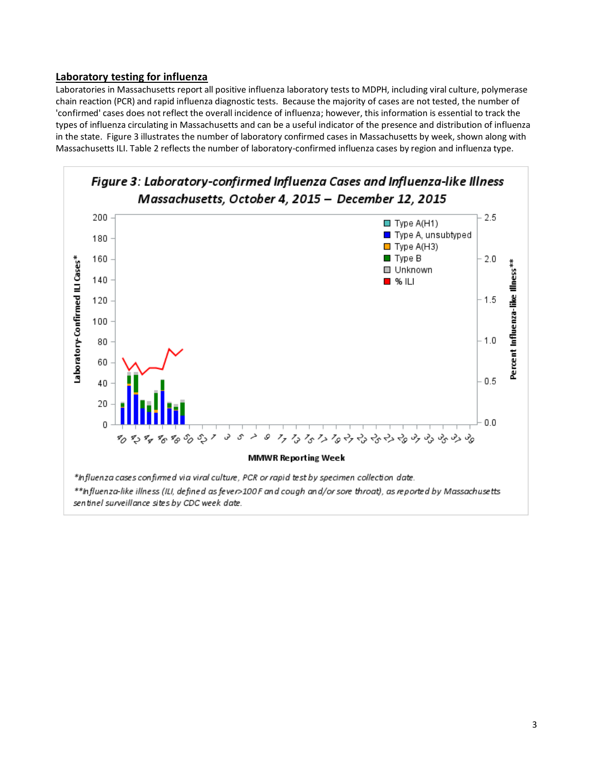## **Laboratory testing for influenza**

Laboratories in Massachusetts report all positive influenza laboratory tests to MDPH, including viral culture, polymerase chain reaction (PCR) and rapid influenza diagnostic tests. Because the majority of cases are not tested, the number of 'confirmed' cases does not reflect the overall incidence of influenza; however, this information is essential to track the types of influenza circulating in Massachusetts and can be a useful indicator of the presence and distribution of influenza in the state. Figure 3 illustrates the number of laboratory confirmed cases in Massachusetts by week, shown along with Massachusetts ILI. Table 2 reflects the number of laboratory-confirmed influenza cases by region and influenza type.

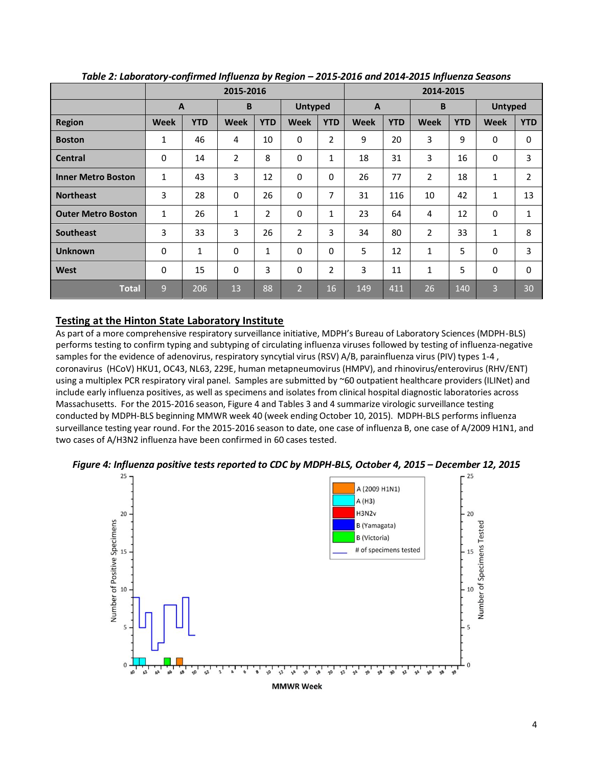|                           | 2015-2016    |              |                |            |                |                | 2014-2015    |            |                |            |                |                |
|---------------------------|--------------|--------------|----------------|------------|----------------|----------------|--------------|------------|----------------|------------|----------------|----------------|
|                           | $\mathbf{A}$ |              | B              |            | <b>Untyped</b> |                | $\mathbf{A}$ |            | B              |            | <b>Untyped</b> |                |
| <b>Region</b>             | <b>Week</b>  | <b>YTD</b>   | <b>Week</b>    | <b>YTD</b> | <b>Week</b>    | <b>YTD</b>     | <b>Week</b>  | <b>YTD</b> | <b>Week</b>    | <b>YTD</b> | <b>Week</b>    | <b>YTD</b>     |
| <b>Boston</b>             | 1            | 46           | 4              | 10         | $\mathbf 0$    | $\overline{2}$ | 9            | 20         | 3              | 9          | $\mathbf 0$    | $\Omega$       |
| <b>Central</b>            | 0            | 14           | $\overline{2}$ | 8          | $\Omega$       | 1              | 18           | 31         | 3              | 16         | $\mathbf 0$    | 3              |
| <b>Inner Metro Boston</b> | $\mathbf{1}$ | 43           | 3              | 12         | $\Omega$       | $\Omega$       | 26           | 77         | $\overline{2}$ | 18         | $\mathbf{1}$   | $\overline{2}$ |
| <b>Northeast</b>          | 3            | 28           | $\mathbf 0$    | 26         | 0              | 7              | 31           | 116        | 10             | 42         | $\mathbf{1}$   | 13             |
| <b>Outer Metro Boston</b> | $\mathbf{1}$ | 26           | 1              | 2          | $\mathbf 0$    | 1              | 23           | 64         | 4              | 12         | $\mathbf 0$    | $\mathbf{1}$   |
| <b>Southeast</b>          | 3            | 33           | 3              | 26         | $\overline{2}$ | 3              | 34           | 80         | $\overline{2}$ | 33         | $\mathbf{1}$   | 8              |
| <b>Unknown</b>            | $\mathbf 0$  | $\mathbf{1}$ | $\mathbf 0$    | 1          | $\Omega$       | $\Omega$       | 5            | 12         | $\mathbf{1}$   | 5          | $\mathbf 0$    | 3              |
| <b>West</b>               | 0            | 15           | $\mathbf 0$    | 3          | $\mathbf 0$    | $\overline{2}$ | 3            | 11         | $\mathbf{1}$   | 5          | $\mathbf 0$    | $\Omega$       |
| <b>Total</b>              | 9            | 206          | 13             | 88         | $\overline{2}$ | 16             | 149          | 411        | 26             | 140        | 3              | 30             |

*Table 2: Laboratory-confirmed Influenza by Region – 2015-2016 and 2014-2015 Influenza Seasons*

## **Testing at the Hinton State Laboratory Institute**

As part of a more comprehensive respiratory surveillance initiative, MDPH's Bureau of Laboratory Sciences (MDPH-BLS) performs testing to confirm typing and subtyping of circulating influenza viruses followed by testing of influenza-negative samples for the evidence of adenovirus, respiratory syncytial virus (RSV) A/B, parainfluenza virus (PIV) types 1-4, coronavirus (HCoV) HKU1, OC43, NL63, 229E, human metapneumovirus (HMPV), and rhinovirus/enterovirus (RHV/ENT) using a multiplex PCR respiratory viral panel. Samples are submitted by ~60 outpatient healthcare providers (ILINet) and include early influenza positives, as well as specimens and isolates from clinical hospital diagnostic laboratories across Massachusetts. For the 2015-2016 season, Figure 4 and Tables 3 and 4 summarize virologic surveillance testing conducted by MDPH-BLS beginning MMWR week 40 (week ending October 10, 2015). MDPH-BLS performs influenza surveillance testing year round. For the 2015-2016 season to date, one case of influenza B, one case of A/2009 H1N1, and two cases of A/H3N2 influenza have been confirmed in 60 cases tested.